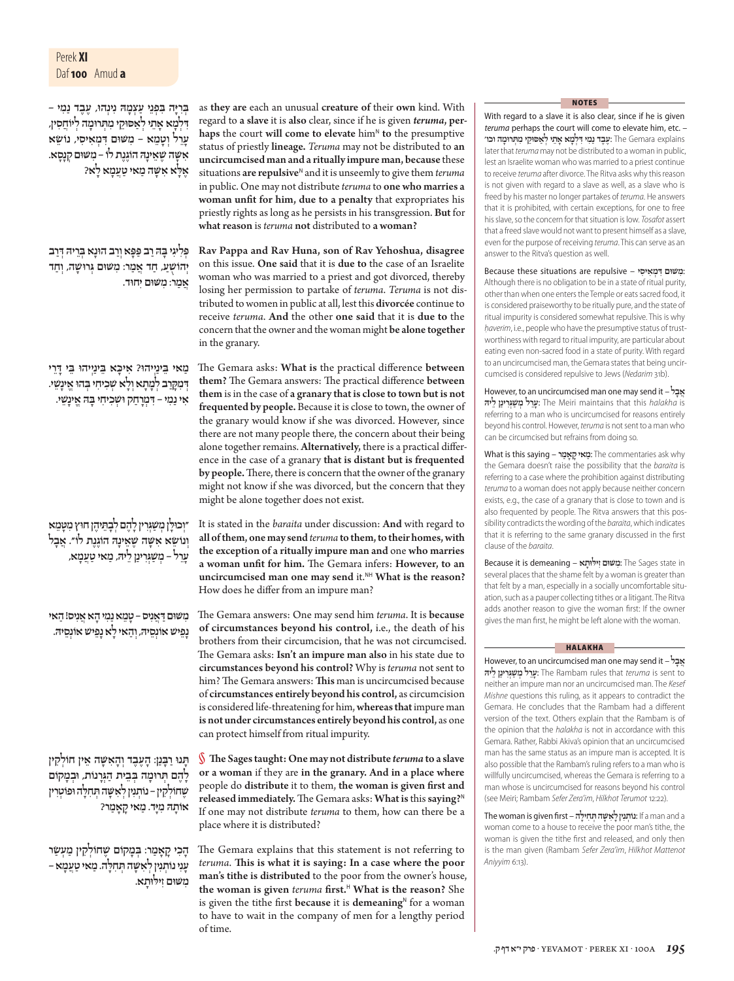| Perek XI |                |  |
|----------|----------------|--|
|          | Daf 100 Amud a |  |

**ְּבִרָיּה ִּב ְפֵני ַע ְצָמ ּה ִנ ְינ ּהו, ֶעֶבד ַנ ִמי – ִ ּד ְלָמא ָאֵתי ְלַא ּסּוֵקי ִמ ְּת ּרוָמה ְל ֲ יוֹח ִסין, ָעֵרל ְוָטֵמא – ִמּׁשּום ִ ּד ְמ ִא ִיסי, ֵׂ נוֹשא ִאָּׁשה ֶׁשֵא ָינ ּה ֶהוֹגֶנת לוֹ – ִמּׁשּום ְקָנָסא. ּלא ִאָּׁשה ַמאי ַטֲעָמא ָלא? ֶאָ**

**ְּפ ִל ִיגי ָּב ּהַרב ַּפ ָּפא ְוַרב ּהוָנא ְּבֵר ּיה ְ ּדַרב ְי ֻׁ הוֹשע, ַחד ֲאַמר: ִמּׁשּום ְּג ּרו ָׁשה, ְוַחד ֲאַמר: ִמּׁשּום ִי ּחוד.**

**ּיכא ֵּב ַינְי ּ יהו ֵּבי ָּדֵרי ַמאי ֵּב ַינְי ּ יהו? ִא ָ ְ ּד ִמָּקַרב ְלָמָתא ְוָלא ׁ ְשִכ ִיחי ְּב ּהוֱא ָינֵׁשי. ִאי ַנִמי – ִ ּד ְמָרַחק ּו ׁ ְשִכ ִיחי ָּב ּה ֱא ָינֵׁשי.**

**ְ״ו ּכוָּלן ְמַׁשְּגִרין ָלֶהם ְלָב ֵּת ֶיהן ּחוץ ִמ ָּטֵמא ְו ֵׂ נוֹשא ִאָּׁשה ֶׁשֵא ָינ ּה ֶהוֹגֶנת לוֹ״. ֲאָבל ָעֵרל – ְמַׁשְּגִר ַינן ֵל ּיה, ַמאי ַטֲעָמא,** 

**ִמּׁשּוםַּדֲאִניס – ָטֵמאַנִמי ָהאֲאִניס! ַהאי ָנֵפ ׁיש ְאוֹנֵס ּיה, ְוַהאי ָלאָנֵפ ׁיש ְאוֹנֵס ּיה.**

**ָּת ּנו ַרָּבַנן: ָהֶעֶבד ְוָה ִאָּׁשה ֵאין ְחוֹל ִקין ָלֶהם ְּת ּרוָמה ְּבֵבית ַהְּגָרנוֹת, ּוְבָמקוֹם ֶׁש ְחוֹל ִקין – ְנוֹתִנין ְל ִאָּׁשה ְּת ִחָּלה ּו ְפוֹטִרין ָאוֹת ּה ִמָיּד. ַמאי ָקָאַמר?** 

**ָה ִכי ָקָאַמר: ְּבָמקוֹם ֶׁש ְחוֹל ִקין ַמ ְע ַׂשר ָעִני ְ נוֹתִנין ְל ִאָּׁשה ְּת ִחָּלה. ַמאי ַטֲעָמא – ִמּׁשּום ִז ּילּוָתא.**  as **they are** each an unusual **creature of** their **own** kind. With regard to **a slave** it is **also** clear, since if he is given *teruma***, per**haps the court will come to elevate him<sup>N</sup> to the presumptive status of priestly **lineage.** *Teruma* may not be distributed to **an uncircumcised man and a ritually impure man, because** these situations are repulsive<sup>N</sup> and it is unseemly to give them *teruma* in public. One may not distribute *teruma* to **one who marries a**  woman unfit for him, due to a penalty that expropriates his priestly rights as long as he persists in his transgression. **But** for **what reason** is *teruma* **not** distributed to **a woman?**

**Rav Pappa and Rav Huna, son of Rav Yehoshua, disagree**  on this issue. **One said** that it is **due to** the case of an Israelite woman who was married to a priest and got divorced, thereby losing her permission to partake of *teruma*. *Teruma* is not distributed to women in public at all, lest this **divorcée** continue to receive *teruma*. **And** the other **one said** that it is **due to** the concern that the owner and the woman might **be alone together**  in the granary.

The Gemara asks: What is the practical difference between them? The Gemara answers: The practical difference between **them** is in the case of **a granary that is close to town but is not frequented by people.** Because it is close to town, the owner of the granary would know if she was divorced. However, since there are not many people there, the concern about their being alone together remains. Alternatively, there is a practical difference in the case of a granary **that is distant but is frequented**  by people. There, there is concern that the owner of the granary might not know if she was divorced, but the concern that they might be alone together does not exist.

It is stated in the *baraita* under discussion: **And** with regard to **all of them, one may send** *teruma* **to them, to their homes, with the exception of a ritually impure man and** one **who marries**  a woman unfit for him. The Gemara infers: However, to an uncircumcised man one may send it.<sup>NH</sup> What is the reason? How does he differ from an impure man?

The Gemara answers: One may send him *teruma*. It is **because of circumstances beyond his control,** i.e., the death of his brothers from their circumcision, that he was not circumcised. The Gemara asks: Isn't an impure man also in his state due to **circumstances beyond his control?** Why is *teruma* not sent to him? The Gemara answers: This man is uncircumcised because of **circumstances entirely beyond his control,** as circumcision is considered life-threatening for him, **whereas that** impure man **is not under circumstances entirely beyond his control,** as one can protect himself from ritual impurity.

§ **Th e Sages taught: One may not distribute** *teruma* **to a slave or a woman** if they are **in the granary. And in a place where**  people do **distribute** it to them, **the woman is given fi rst and**  released immediately. The Gemara asks: What is this saying?<sup>N</sup> If one may not distribute *teruma* to them, how can there be a place where it is distributed?

The Gemara explains that this statement is not referring to *teruma*. **Th is is what it is saying: In a case where the poor man's tithe is distributed** to the poor from the owner's house, **the woman is given** *teruma* **fi rst.**<sup>H</sup>**What is the reason?** She is given the tithe first **because** it is **demeaning**<sup>N</sup> for a woman to have to wait in the company of men for a lengthy period of time.

### **NOTES**

 With regard to a slave it is also clear, since if he is given *teruma* perhaps the court will come to elevate him, etc. – explains Gemara The **ֶ**:**עֶבד ַנִמי ִ ּד ְלָמא ָאֵתי ְלַא ּסּוֵקי ִמ ְּת ּרוָמה וכו׳** later that *teruma* may not be distributed to a woman in public, lest an Israelite woman who was married to a priest continue to receive *teruma* after divorce. The Ritva asks why this reason is not given with regard to a slave as well, as a slave who is freed by his master no longer partakes of *teruma*. He answers that it is prohibited, with certain exceptions, for one to free his slave, so the concern for that situation is low. *Tosafot* assert that a freed slave would not want to present himself as a slave, even for the purpose of receiving *teruma*. This can serve as an answer to the Ritva's question as well.

: **ִמּׁשּום ִ ּד ְמ ִא ִיסי** – repulsive are situations these Because Although there is no obligation to be in a state of ritual purity, other than when one enters the Temple or eats sacred food, it is considered praiseworthy to be ritually pure, and the state of ritual impurity is considered somewhat repulsive. This is why *ĥaverim*, i.e., people who have the presumptive status of trustworthiness with regard to ritual impurity, are particular about eating even non-sacred food in a state of purity. With regard to an uncircumcised man, the Gemara states that being uncircumcised is considered repulsive to Jews (*Nedarim* 31b).

 However, to an uncircumcised man one may send it – **בלָאֲ** is *halakha* this that maintains Meiri The **ָ**:**עֵרל ְמַׁשְּגִר ַינן ֵל ּיה** referring to a man who is uncircumcised for reasons entirely beyond his control. However, *teruma* is not sent to a man who can be circumcised but refrains from doing so.

 What is this saying – **מרַאָקָ מאיַ**: The commentaries ask why the Gemara doesn't raise the possibility that the *baraita* is referring to a case where the prohibition against distributing *teruma* to a woman does not apply because neither concern exists, e.g., the case of a granary that is close to town and is also frequented by people. The Ritva answers that this possibility contradicts the wording of the *baraita*, which indicates that it is referring to the same granary discussed in the first clause of the *baraita*.

 Because it is demeaning – **תאָוּילּ זִ וםּשּׁמִ** : The Sages state in several places that the shame felt by a woman is greater than that felt by a man, especially in a socially uncomfortable situation, such as a pauper collecting tithes or a litigant. The Ritva adds another reason to give the woman first: If the owner gives the man first, he might be left alone with the woman.

#### **HALAKHA**

 However, to an uncircumcised man one may send it – **בלָאֲ** to sent is *teruma* that rules Rambam The **ָ**:**עֵרל ְמַׁשְּגִר ַינן ֵל ּיה** neither an impure man nor an uncircumcised man. The *Kesef Mishne* questions this ruling, as it appears to contradict the Gemara. He concludes that the Rambam had a different version of the text. Others explain that the Rambam is of the opinion that the *halakha* is not in accordance with this Gemara. Rather, Rabbi Akiva's opinion that an uncircumcised man has the same status as an impure man is accepted. It is also possible that the Rambam's ruling refers to a man who is willfully uncircumcised, whereas the Gemara is referring to a man whose is uncircumcised for reasons beyond his control (see Meiri; Rambam *Sefer Zera'im*, *Hilkhot Terumot* 12:22).

 The woman is given first – **ילהָּ חִ תְּ שהָּׁאִ לָ ניןִנוֹתְ** : If a man and a woman come to a house to receive the poor man's tithe, the woman is given the tithe first and released, and only then is the man given (Rambam *Sefer Zera'im*, *Hilkhot Mattenot Aniyyim* 6:13).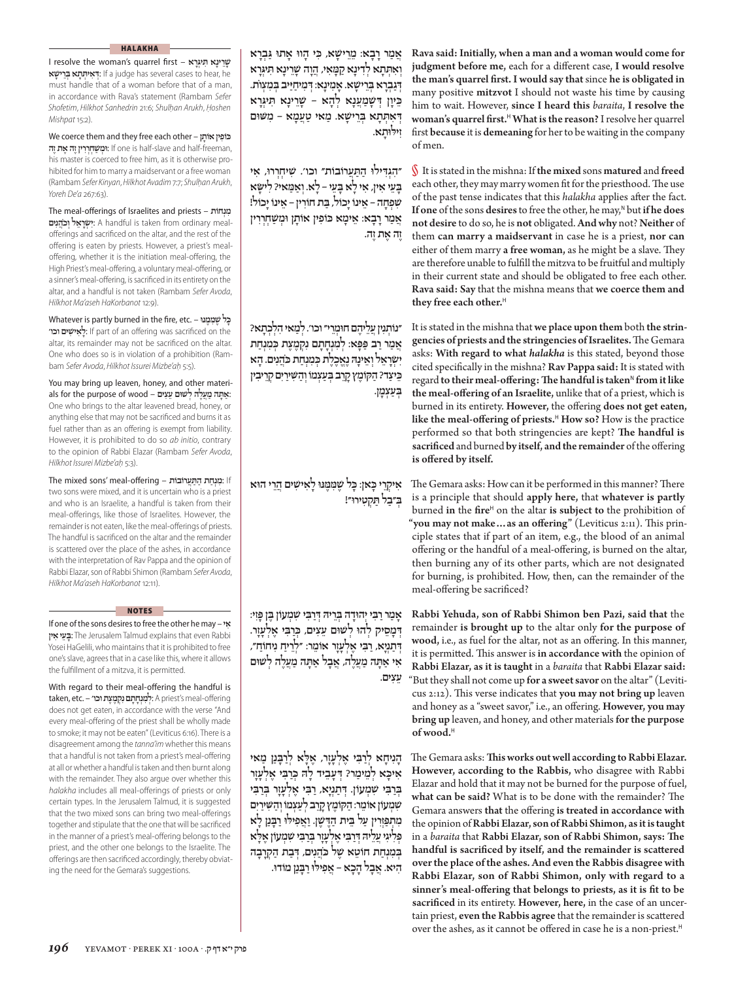## **HALAKHA**

 I resolve the woman's quarrel first – **ראָיגְּ תִּ ינאָ רֵשָׁ ישא ָׁ רֵבְּ תאָיתְּ אִ דּ ְ**: If a judge has several cases to hear, he must handle that of a woman before that of a man, in accordance with Rava's statement (Rambam *Sefer Shofetim*, *Hilkhot Sanhedrin* 21:6; *Shulĥan Arukh*, *Ĥoshen Mishpat* 15:2).

 We coerce them and they free each other – **אוֹתןָ וֹפיןִ כּ** ,freeman-half and slave-half is one If **ּ**:**ו ְמַׁש ְחְרִריןֶזה ֶאתֶזה** his master is coerced to free him, as it is otherwise prohibited for him to marry a maidservant or a free woman (Rambam *Sefer Kinyan*, *Hilkhot Avadim* 7:7; *Shulĥan Arukh*, *Yoreh De'a* 267:63).

 The meal-offerings of Israelites and priests – **נחוֹתְמִ ניםִהֲֹוכְ אלֵרָשְׂ יִ**: A handful is taken from ordinary mealofferings and sacrificed on the altar, and the rest of the offering is eaten by priests. However, a priest's mealoffering, whether it is the initiation meal-offering, the High Priest's meal-offering, a voluntary meal-offering, or a sinner's meal-offering, is sacrificed in its entirety on the altar, and a handful is not taken (Rambam *Sefer Avoda*, *Hilkhot Ma'aseh HaKorbanot* 12:9).

 Whatever is partly burned in the fire, etc. – **וּנּמֶּ מִּשֶׁ כלָּ וכו׳ ישים ִ ׁ אִ לָ**: If part of an offering was sacrificed on the altar, its remainder may not be sacrificed on the altar. One who does so is in violation of a prohibition (Rambam *Sefer Avoda*, *Hilkhot Issurei Mizbe'aĥ* 5:5).

 You may bring up leaven, honey, and other materials for the purpose of wood – **ציםִ עֵ וםּשׁ לְ להֶעֲמַ תהָּ אַ**: One who brings to the altar leavened bread, honey, or anything else that may not be sacrificed and burns it as fuel rather than as an offering is exempt from liability. However, it is prohibited to do so *ab initio*, contrary to the opinion of Rabbi Elazar (Rambam *Sefer Avoda*, *Hilkhot Issurei Mizbe'aĥ* 5:3).

 If : **ִמְנַחת ַה ַּתֲערוֹבוֹת** – offering-meal' sons mixed The two sons were mixed, and it is uncertain who is a priest and who is an Israelite, a handful is taken from their meal-offerings, like those of Israelites. However, the remainder is not eaten, like the meal-offerings of priests. The handful is sacrificed on the altar and the remainder is scattered over the place of the ashes, in accordance with the interpretation of Rav Pappa and the opinion of Rabbi Elazar, son of Rabbi Shimon (Rambam *Sefer Avoda*, *Hilkhot Ma'aseh HaKorbanot* 12:11).

**NOTES**

 If one of the sons desires to free the other he may – **איִ איןִ עיֵבָּ**: The Jerusalem Talmud explains that even Rabbi Yosei HaGelili, who maintains that it is prohibited to free one's slave, agrees that in a case like this, where it allows the fulfillment of a mitzva, it is permitted.

 With regard to their meal-offering the handful is offering-meal s'priest A : **ְל ִמְנָחָתם ִנְקֶמֶצתוכו׳** – .etc ,taken does not get eaten, in accordance with the verse "And every meal-offering of the priest shall be wholly made to smoke; it may not be eaten" (Leviticus 6:16). There is a disagreement among the *tanna'im* whether this means that a handful is not taken from a priest's meal-offering at all or whether a handful is taken and then burnt along with the remainder. They also argue over whether this *halakha* includes all meal-offerings of priests or only certain types. In the Jerusalem Talmud, it is suggested that the two mixed sons can bring two meal-offerings together and stipulate that the one that will be sacrificed in the manner of a priest's meal-offering belongs to the priest, and the other one belongs to the Israelite. The offerings are then sacrificed accordingly, thereby obviating the need for the Gemara's suggestions.

**ּכי ָה ּוו ָא ּתו ַּג ְבָרא ֲאַמרָרָבא: ֵמֵר ָׁ ישא, ִ ְו ִא ְּתָתא ְלִד ָינא ַק ָּמ ִאי, ֲהָוה ָׁשֵרָינא ִּת ְּיגָרא ְ ּדַג ְבָרא ְּבֵר ָׁ ישא. ָא ִמ ָינא: ְ ּד ִמ ַיחַיּיב ְּב ִמ ְצוֹת. ּכָיון ְ ּד ָׁשַמֲעָנא ְלָהא – ָׁשֵר ָינא ִּת ְּיגָרא ֵ ְ ּד ִא ְּתָתא ְּבֵר ָׁ ישא. ַמאי ַטֲעָמא – ִמּׁשּום ִז ּילּוָתא.**

**ִ״הְגִ ּד ּ ילו ַה ַּתֲערוֹבוֹת״ וכו׳. ׁ ִש ְיחְר ּרו, ִאי ָּבֵעי ִאין, ִאי ָלא ָּבֵעי – ָלא. ְוַא ַּמאי? ִל ָּׂ ישא ׁ ִשְפָחה – ֵאינוָֹיכוֹל, ַּבת ִחוֹרין – ֵאינוָֹיכוֹל! ֲאַמרָרָבא: ֵא ָימא ּכ ִוֹפין ָאוֹתן ּו ְמַׁש ְחְרִרין ֶזה ֶאתֶזה.**

**ְ ״נוֹתִניןֲעֵל ֶיהם ּחו ְמֵרי״וכו׳. ְלַמאי ִהְל ְכָתא? ּכ ִמְנַחת ֲאַמרַרב ַּפ ָּפא: ְל ִמְנָחָתם ִנְקֶמֶצת ְ ּכ ִמְנַחת ּ ֹכֲהִנים. ָהא ִי ְׂשָרֵאל ְוֵא ָינ ּה ֶנֱאֶכֶלת ְ ּכ ַיצד? ַה ּק ֶוֹמץָקֵרב ְּבַע ְצמוְֹוַהִּׁשַירִים ְקֵר ִיבין ֵ ְּבַע ְצָמן.** 

**ּכל ֶׁשִּמ ֶּמּנּו ָל ִא ׁ ִ ישים ֲהֵרי ּהוא ּכאן: ָ ִא ְיקֵרי ָ ְּב ַ״בל ַּתְק ִט ּ ירו״!** 

**ָאַמרַרִּבי ְי ּהוָדה ְּבֵר ּיה ְ ּדַרִּבי ׁ ִשְמעוֹן ֶּבן ָּפִזי: ּכַרִּבי ֶאְלָעָזר. ְ ּדָמֵסיק ְל ּהו ְל ׁשּום ֵע ִצים, ְ ְ ּדַתְנָיא, ַרִּבי ֶאְלָעָזר ֵאוֹמר: ְ״לֵריח ִנ יחוֹח״, ִאי ַא ָּתה ַמֲעֶלה, ֲאָבל ַא ָּתה ַמֲעֶלה ְל ׁשּום ֵע ִצים.** 

**ָהִנ ָיחא ְלַרִּבי ֶא ְלָעָזר, ֶאָּלא ְלַרָּבַנן ַמאי ּכַרִּבי ֶאְלָעָזר ּיכא ְלֵמ ַימר? ְ ּדָעֵביד ָל ּה ְ ִא ָ ְּבַרִּבי ׁ ִש ְמעוֹן. ְ ּדַתְנָיא, ַרִּבי ֶאְלָעָזר ְּבַרִּבי ׁ ִשְמעוֹן ֵאוֹמר: ַה ּק ֶוֹמץָקֵרב ְלַע ְצמוֹ ְוַהִּׁשַירִים ִמ ְתַּפְזִּרין ַעל ֵּבית ַהֶּד ֶׁשן. ַוֲא ִפ ּילּו ַרָּבַנן ָלא ְּפ ִל ִיגיֲעֵל ּיה ְ ּדַרִּבי ֶאְלָעָזר ְּבַרִּבי ׁ ִשְמעוֹן ֶאָּלא ְּב ִמְנַחת ֵחוֹטא ֶׁשל ּכֲֹהִנים, ְ ּדַבת ַה ְקָרָבה ִהיא. ֲאָבל ָהָכא – ֲא ִפ ּילּוַרָּבַנן ּ מוֹדו.** **Rava said: Initially, when a man and a woman would come for**  judgment before me, each for a different case, I would resolve **the man's quarrel fi rst. I would say that** since **he is obligated in**  many positive **mitzvot** I should not waste his time by causing him to wait. However, **since I heard this** *baraita*, **I resolve the woman's quarrel fi rst.**<sup>H</sup>**What is the reason?** I resolve her quarrel first **because** it is demeaning for her to be waiting in the company of men.

§ It is stated in the mishna: If**the mixed** sons **matured** and **freed**  each other, they may marry women fit for the priesthood. The use of the past tense indicates that this *halakha* applies after the fact. If one of the sons desires to free the other, he may,<sup>N</sup> but if he does **not desire** to do so, he is **not** obligated. **And why** not? **Neither** of them **can marry a maidservant** in case he is a priest, **nor can**  either of them marry a free woman, as he might be a slave. They are therefore unable to fulfill the mitzva to be fruitful and multiply in their current state and should be obligated to free each other. **Rava said: Say** that the mishna means that **we coerce them and they free each other.**<sup>H</sup>

It is stated in the mishna that **we place upon them** both **the strin**gencies of priests and the stringencies of Israelites. The Gemara asks: **With regard to what** *halakha* is this stated, beyond those cited specifically in the mishna? **Rav Pappa said:** It is stated with regard to their meal-offering: The handful is taken<sup>N</sup> from it like **the meal-off ering of an Israelite,** unlike that of a priest, which is burned in its entirety. However, the offering does not get eaten, like the meal-offering of priests.<sup>H</sup> How so? How is the practice performed so that both stringencies are kept? **Th e handful is sacrificed** and burned by itself, and the remainder of the offering is offered by itself.

The Gemara asks: How can it be performed in this manner? There is a principle that should **apply here,** that **whatever is partly**  burned in the fire<sup>H</sup> on the altar is subject to the prohibition of "**you may not make…as an offering"** (Leviticus 2:11). This principle states that if part of an item, e.g., the blood of an animal offering or the handful of a meal-offering, is burned on the altar, then burning any of its other parts, which are not designated for burning, is prohibited. How, then, can the remainder of the meal-offering be sacrificed?

**Rabbi Yehuda, son of Rabbi Shimon ben Pazi, said that** the remainder **is brought up** to the altar only **for the purpose of**  wood, i.e., as fuel for the altar, not as an offering. In this manner, it is permitted. This answer is in accordance with the opinion of **Rabbi Elazar, as it is taught** in a *baraita* that **Rabbi Elazar said:**  "But they shall not come up **for a sweet savor** on the altar" (Leviticus 2:12). This verse indicates that **you may not bring up** leaven and honey as a "sweet savor," i.e., an offering. However, you may **bring up** leaven, and honey, and other materials **for the purpose of wood.**<sup>H</sup>

The Gemara asks: This works out well according to Rabbi Elazar. **However, according to the Rabbis,** who disagree with Rabbi Elazar and hold that it may not be burned for the purpose of fuel, what can be said? What is to be done with the remainder? The Gemara answers that the offering is treated in accordance with the opinion of**Rabbi Elazar, son of Rabbi Shimon, as it is taught**  in a *baraita* that **Rabbi Elazar, son of Rabbi Shimon, says: Th e**  handful is sacrificed by itself, and the remainder is scattered **over the place of the ashes. And even the Rabbis disagree with Rabbi Elazar, son of Rabbi Shimon, only with regard to a sinner's meal-off ering that belongs to priests, as it is fi t to be sacrifi ced** in its entirety. **However, here,** in the case of an uncertain priest, even the Rabbis agree that the remainder is scattered over the ashes, as it cannot be offered in case he is a non-priest.<sup>H</sup>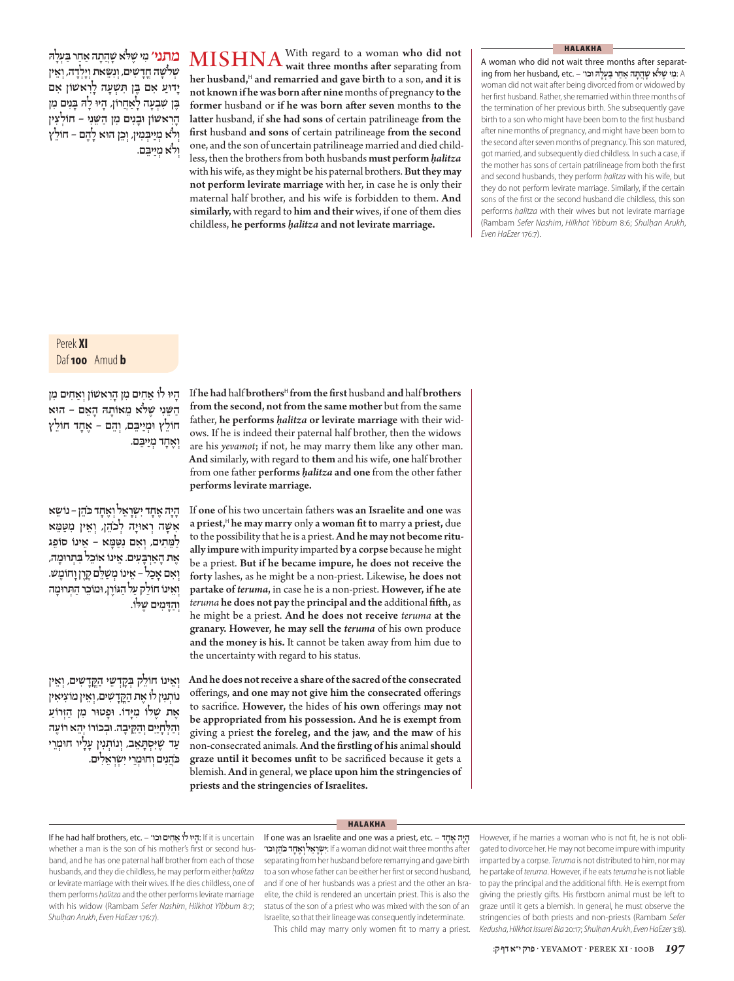**מתני׳ ִמי ֶׁשּלֹא ָׁשֲהָתה ַאַחר ַּב ְעָל ּה ׁ ְשלֹ ָׁשה ֳחָד ׁ ִשים, ְוִנֵּׂשאת ְוָי ְלָדה, ְוֵאין ָי ּדוע ִאם ֶּבן ִּתׁ ְשָעה ָלִר ׁאשוֹן ִאם ֶּבן ׁ ִשְבָעה ָלַאֲחרוֹן, ָה ּיו ָל ּה ָּבִנים ִמן ָהִר ׁאשוֹן ּוָבִנים ִמן ַהֵּׁשִני – ְחוֹל ִצין ְולֹא ְמַי ְּיב ִמין, ְוֵכן ּהוא ָלֶהם – ֵחוֹלץ ְולֹא ְמַי ֵּיבם.**

 $\bf{MISHNA}^{\rm With~regard~to~a~woman~who~did~not}$ **her husband,**<sup>H</sup>**and remarried and gave birth** to a son, **and it is not known if he was born aft er nine** months of pregnancy **to the former** husband or **if he was born aft er seven** months **to the**  latter husband, if she had sons of certain patrilineage from the **fi rst** husband **and sons** of certain patrilineage **from the second**  one, and the son of uncertain patrilineage married and died childless, then the brothers from both husbands **must perform** *ĥalitza* with his wife, as they might be his paternal brothers. **But they may not perform levirate marriage** with her, in case he is only their maternal half brother, and his wife is forbidden to them. **And similarly,** with regard to **him and their** wives, if one of them dies childless, **he performs** *ĥalitza* **and not levirate marriage.** 

## **HALAKHA**

 A woman who did not wait three months after separating from her husband, etc. – **וכו׳ הּ לָעְ בַּ חרַאַ תהָהֲשָׁ אֹלּשֶׁ מיִ** : A woman did not wait after being divorced from or widowed by her first husband. Rather, she remarried within three months of the termination of her previous birth. She subsequently gave birth to a son who might have been born to the first husband after nine months of pregnancy, and might have been born to the second after seven months of pregnancy. This son matured, got married, and subsequently died childless. In such a case, if the mother has sons of certain patrilineage from both the first and second husbands, they perform *ĥalitza* with his wife, but they do not perform levirate marriage. Similarly, if the certain sons of the first or the second husband die childless, this son performs *ĥalitza* with their wives but not levirate marriage (Rambam *Sefer Nashim*, *Hilkhot Yibbum* 8:6; *Shulĥan Arukh*, *Even HaEzer* 176:7).

Perek **XI** Daf **100** Amud **b**

**ָה ּיו לוֹ ַא ִחים ִמן ָהִר ׁאשוֹן ְוַא ִחים ִמן ַה ֵּׁשִני ֶׁש ּלֹא ֵמ ָאוֹת ּה ָהֵאם – ּהוא ֵחוֹלץ ּו ְמַי ֵּיבם, ְוֵהם – ֶאָחד ֵחוֹלץ ְוֶאָחד ְמַי ֵּיבם.** 

**ָהָיה ֶאָחד ִי ְׂשָרֵאל ְוֶאָחד ּכֵֹהן – ֵׂ נוֹשא ִא ָּׁשה ְר ּאוָיה ְלכֵֹהן, ְוֵאין ִמ ַּט ֵּמא ַל ֵּמ ִתים, ְו ִאם ִנַּט ָּמא – ֵאינוֹ ֵסוֹפג ֶאת ָהַאְרָּב ִעים. ֵאינוֹ ֵאוֹכל ִּב ְת ּרוָמה, ּלםֶקֶרןָו ֶחוֹמׁש. ְו ִאם ָאַכל – ֵאינוֹ ְמַׁשֵ ְוֵאינוֹ ֵחוֹלק ַעל ַה ּגֶוֹרן, ּו ֵמוֹכר ַה ְּת ּרוָמה ְוַהָּד ִמים ֶׁשּלוֹ.** 

**ְוֵאינוֹ ֵחוֹלק ְּבָקְד ֵׁשי ַהֳּקָד ׁ ִשים, ְוֵאין ְ נוֹתִנין לוֹ ֶאת ַהֳּקָד ׁ ִשים, ְוֵאין ִמוֹצ ִיאין ֶאת ֶׁש ּלוֹ ִמָיּדוֹ. ּוָפ ּטור ִמן ַהְזּ רוֹע ְוַה ְּלָחַיִים ְוַהֵּק ָיבה. ּוְבכוֹרוֹ ְיֵהא ֶרוֹעה ַעד ֶׁשִיּ ְס ָּתֵאב, ְו ְ נוֹתִנין ָעָליו ּחו ְמֵרי ּ ֹכֲהִנים ְו ּחו ְמֵרי ִי ְׂשְרֵאִלים.** 

 $\mathbf{H}$  **i** the had half brothers  $^\mathsf{H}$  from the first husband and half brothers **from the second, not from the same mother** but from the same father, **he performs** *ĥalitza* **or levirate marriage** with their widows. If he is indeed their paternal half brother, then the widows are his *yevamot*; if not, he may marry them like any other man. **And** similarly, with regard to **them** and his wife, **one** half brother from one father **performs** *ĥalitza* **and one** from the other father **performs levirate marriage.**

If **one** of his two uncertain fathers **was an Israelite and one** was **a priest,**<sup>H</sup>**he may marry** only **a woman fi t to** marry **a priest,** due to the possibility that he is a priest. **And he may not become ritually impure** with impurity imparted **by a corpse** because he might be a priest. **But if he became impure, he does not receive the forty** lashes, as he might be a non-priest. Likewise, **he does not partake of** *teruma***,** in case he is a non-priest. **However, if he ate**  *teruma* **he does not pay** the **principal and the** additional **fift h,** as he might be a priest. **And he does not receive** *teruma* **at the granary. However, he may sell the** *teruma* of his own produce **and the money is his.** It cannot be taken away from him due to the uncertainty with regard to his status.

**And he does not receive a share of the sacred of the consecrated**  offerings, and one may not give him the consecrated offerings to sacrifice. However, the hides of his own offerings may not **be appropriated from his possession. And he is exempt from**  giving a priest **the foreleg, and the jaw, and the maw** of his non-consecrated animals. **And the fi rstling of his** animal **should**  graze until it becomes unfit to be sacrificed because it gets a blemish. **And** in general, **we place upon him the stringencies of priests and the stringencies of Israelites.**

### **HALAKHA**

 If he had half brothers, etc. – **וכו׳ חיםִ אַ לוֹ יוּ הָ**: If it is uncertain whether a man is the son of his mother's first or second husband, and he has one paternal half brother from each of those husbands, and they die childless, he may perform either *ĥalitza* or levirate marriage with their wives. If he dies childless, one of them performs *ĥalitza* and the other performs levirate marriage with his widow (Rambam *Sefer Nashim*, *Hilkhot Yibbum* 8:7; *Shulĥan Arukh*, *Even HaEzer* 176:7).

 If one was an Israelite and one was a priest, etc. – **חדָאֶ יהָהָ** after months three wait not did woman a If **ִ**:**י ְׂשָרֵאל ְוֶאָחד ּכֵֹהן וכו׳** separating from her husband before remarrying and gave birth to a son whose father can be either her first or second husband, and if one of her husbands was a priest and the other an Israelite, the child is rendered an uncertain priest. This is also the status of the son of a priest who was mixed with the son of an Israelite, so that their lineage was consequently indeterminate.

This child may marry only women fit to marry a priest.

However, if he marries a woman who is not fit, he is not obligated to divorce her. He may not become impure with impurity imparted by a corpse. *Teruma* is not distributed to him, nor may he partake of *teruma*. However, if he eats *teruma* he is not liable to pay the principal and the additional fifth. He is exempt from giving the priestly gifts. His firstborn animal must be left to graze until it gets a blemish. In general, he must observe the stringencies of both priests and non-priests (Rambam *Sefer Kedusha*, *Hilkhot Issurei Bia* 20:17; *Shulĥan Arukh*, *Even HaEzer* 3:8).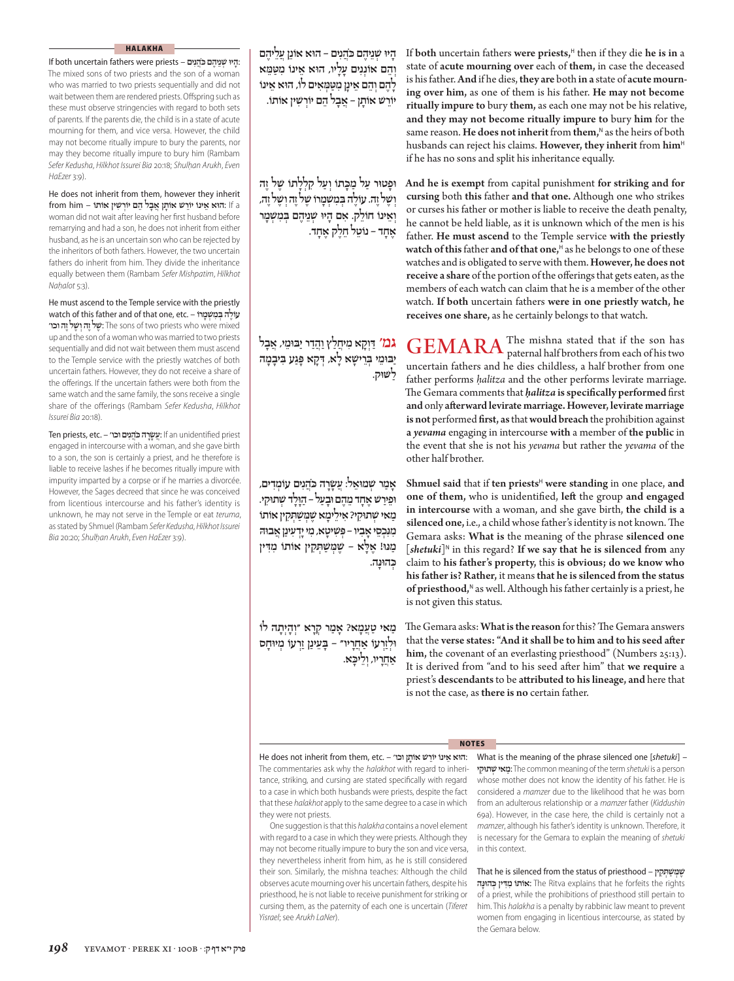## **HALAKHA**

**ָ**:**ה ּיו ׁ ְשֵנ ֶיהם ּכֲֹהִנים** – priests were fathers uncertain both If The mixed sons of two priests and the son of a woman who was married to two priests sequentially and did not wait between them are rendered priests. Offspring such as these must observe stringencies with regard to both sets of parents. If the parents die, the child is in a state of acute mourning for them, and vice versa. However, the child may not become ritually impure to bury the parents, nor may they become ritually impure to bury him (Rambam *Sefer Kedusha*, *Hilkhot Issurei Bia* 20:18; *Shulĥan Arukh*, *Even HaEzer* 3:9).

 He does not inherit from them, however they inherit a If : **ּהוא ֵאינוֹ ֵיוֹרׁש ָאוֹתן ֲאָבל ֵהם ְיוֹרׁ ִשין אוֹתוֹ** – him from woman did not wait after leaving her first husband before remarrying and had a son, he does not inherit from either husband, as he is an uncertain son who can be rejected by the inheritors of both fathers. However, the two uncertain fathers do inherit from him. They divide the inheritance equally between them (Rambam *Sefer Mishpatim*, *Hilkhot Naĥalot* 5:3).

 He must ascend to the Temple service with the priestly watch of this father and of that one, etc. – **מרוָֹשְ ׁמִ בְּ עוֹלהֶ וכו׳ זהֶשלֶׁ וְ זהֶשלֶׁ** : The sons of two priests who were mixed up and the son of a woman who was married to two priests sequentially and did not wait between them must ascend to the Temple service with the priestly watches of both uncertain fathers. However, they do not receive a share of the offerings. If the uncertain fathers were both from the same watch and the same family, the sons receive a single share of the offerings (Rambam *Sefer Kedusha*, *Hilkhot Issurei Bia* 20:18).

 priest unidentified an If **ֲ**:**עָׂשָרה ּכֲֹהִנים וכו׳** – .etc ,priests Ten engaged in intercourse with a woman, and she gave birth to a son, the son is certainly a priest, and he therefore is liable to receive lashes if he becomes ritually impure with impurity imparted by a corpse or if he marries a divorcée. However, the Sages decreed that since he was conceived from licentious intercourse and his father's identity is unknown, he may not serve in the Temple or eat *teruma*, as stated by Shmuel (Rambam *Sefer Kedusha*, *Hilkhot Issurei Bia* 20:20; *Shulĥan Arukh*, *Even HaEzer* 3:9).

**ָה ּיו ׁ ְשֵנ ֶיהם ּ ֹכֲהִנים – ּהוא ֵאוֹנןֲעֵל ֶיהם ְוֵהם ְאוֹנִנים ָעָליו, ּהוא ֵאינוֹ ִמ ַּט ֵּמא ָלֶהם ְוֵהם ֵא ָינן ִמ ַּט ְּמ ִאים לוֹ, ּהוא ֵאינוֹ ֵיוֹרׁש ָאוֹתן – ֲאָבל ֵהם ְיוֹרׁ ִשין אוֹתוֹ.** 

**ּכתוֹ ְוַעל ִק ְלָלתוֹ ֶׁשל ֶזה ּוָפ ּטור ַעל ַמָ ְו ֶׁשלֶזה. ֶעוֹלה ְּב ִמׁ ְשָמרוֹ ֶׁשלֶזה ְו ֶׁשלֶזה, ְוֵאינוֹ ֵחוֹלק. ִאם ָה ּיו ׁ ְשֵנ ֶיהם ְּב ִמׁ ְשָמר ֶאָחד – ֵ נוֹטל ֵחֶלק ֶאָחד.**

**גמ׳ ַּדְוָקא ִמ ֲיחַלץַוֲהַדרַי ּבּוֵמי, ֲאָבל ַי ּבּוֵמי ְּבֵר ָׁ ישא ָלא, ְ ּדָקא ָּפַגע ִּב ָיבָמה ַל ּׁשּוק.**

**ָאַמר ׁ ְש ּמוֵאל: ֲע ָׂשָרה ּכֲֹהִנים ְעוֹמִדים, ּוֵפַירׁש ֶאָחד ֵמֶהם ּוָבַעל – ַהָּוָלד ׁ ְש ּתו ִקי. ַמאי ׁ ְש ּתו ִקי? ִא ֵיל ָימא ֶׁשְּמַׁשְּתִקין אוֹתוֹ ּנְכֵסי ָא ִביו – ְּפׁ ִש ָיטא, ִמיָיְד ִע ַינןֲא ּבו ּה ִמִ ּלא – ֶׁש ְּמַׁש ְּתִקין אוֹתוֹ ִמִ ּדין ַמּנּו! ֶאָ ּכ ּהוָּנה. ְ**

**ַמאי ַטֲעָמא? ָאַמר ְקָרא ְ״וָהְיָתה לוֹ ּו ְלַזְרעוֹ ַאֲחָריו״ – ָּבֵע ַינן ַזְרעוֹ ְמ ּיוָחס ּיכא. ַאֲחָריו, ְוֵל ָ**

If **both** uncertain fathers **were priests**,<sup>H</sup> then if they die **he** is in a state of **acute mourning over** each of **them,** in case the deceased is his father. **And** if he dies, **they are** both **in a** state of **acute mourning over him,** as one of them is his father. **He may not become ritually impure to** bury **them,** as each one may not be his relative, **and they may not become ritually impure to** bury **him** for the same reason. He does not inherit from them,<sup>N</sup> as the heirs of both husbands can reject his claims. However, they inherit from him<sup>H</sup> if he has no sons and split his inheritance equally.

**And he is exempt** from capital punishment **for striking and for cursing** both **this** father **and that one.** Although one who strikes or curses his father or mother is liable to receive the death penalty, he cannot be held liable, as it is unknown which of the men is his father. **He must ascend** to the Temple service **with the priestly**  watch of this father and of that one,<sup>H</sup> as he belongs to one of these watches and is obligated to serve with them. **However, he does not**  receive a share of the portion of the offerings that gets eaten, as the members of each watch can claim that he is a member of the other watch. **If both** uncertain fathers **were in one priestly watch, he receives one share,** as he certainly belongs to that watch.

 $\operatorname{GEMARA}^{\text{The mishna stated that if the son has}}$ uncertain fathers and he dies childless, a half brother from one father performs *ĥalitza* and the other performs levirate marriage. The Gemara comments that *halitza* is specifically performed first **and** only **aft erward levirate marriage. However, levirate marriage is not** performed **fi rst, as** that**would breach** the prohibition against **a** *yevama* engaging in intercourse **with** a member of **the public** in the event that she is not his *yevama* but rather the *yevama* of the other half brother.

**Shmuel said** that if **ten priests**<sup>H</sup>**were standing** in one place, **and one of them,** who is unidentified, left the group and engaged **in intercourse** with a woman, and she gave birth, **the child is a**  silenced one, i.e., a child whose father's identity is not known. The Gemara asks: **What is** the meaning of the phrase **silenced one [***shetuki***]**<sup>N</sup>in this regard? **If we say that he is silenced from** any claim to **his father's property,** this **is obvious; do we know who his father is? Rather,** it means **that he is silenced from the status**  of priesthood,<sup>N</sup> as well. Although his father certainly is a priest, he is not given this status.

The Gemara asks: What is the reason for this? The Gemara answers that the verse states: "And it shall be to him and to his seed after him, the covenant of an everlasting priesthood" (Numbers 25:13). It is derived from "and to his seed after him" that we require a priest's **descendants** to be **att ributed to his lineage, and** here that is not the case, as **there is no** certain father.

**NOTES**

 He does not inherit from them, etc. – **וכו׳ אוֹתןָ שׁיוֹרֵ אינוֵֹ הואּ** : The commentaries ask why the *halakhot* with regard to inheritance, striking, and cursing are stated specifically with regard to a case in which both husbands were priests, despite the fact that these *halakhot* apply to the same degree to a case in which they were not priests.

One suggestion is that this *halakha* contains a novel element with regard to a case in which they were priests. Although they may not become ritually impure to bury the son and vice versa, they nevertheless inherit from him, as he is still considered their son. Similarly, the mishna teaches: Although the child observes acute mourning over his uncertain fathers, despite his priesthood, he is not liable to receive punishment for striking or cursing them, as the paternity of each one is uncertain (*Tiferet Yisrael*; see *Arukh LaNer*).

 What is the meaning of the phrase silenced one [*shetuki*] – **קיִ תוּ שְ ׁ מאיַ**: The common meaning of the term *shetuki* is a person whose mother does not know the identity of his father. He is considered a *mamzer* due to the likelihood that he was born from an adulterous relationship or a *mamzer* father (*Kiddushin*  69a). However, in the case here, the child is certainly not a *mamzer*, although his father's identity is unknown. Therefore, it is necessary for the Gemara to explain the meaning of *shetuki* in this context.

 That he is silenced from the status of priesthood – **קיןִתְּשַׁמְּשֶׁ ּכ ּהוָּנה ְ דיןּ ִמִ אוֹתוֹ**: The Ritva explains that he forfeits the rights of a priest, while the prohibitions of priesthood still pertain to him. This *halakha* is a penalty by rabbinic law meant to prevent women from engaging in licentious intercourse, as stated by the Gemara below.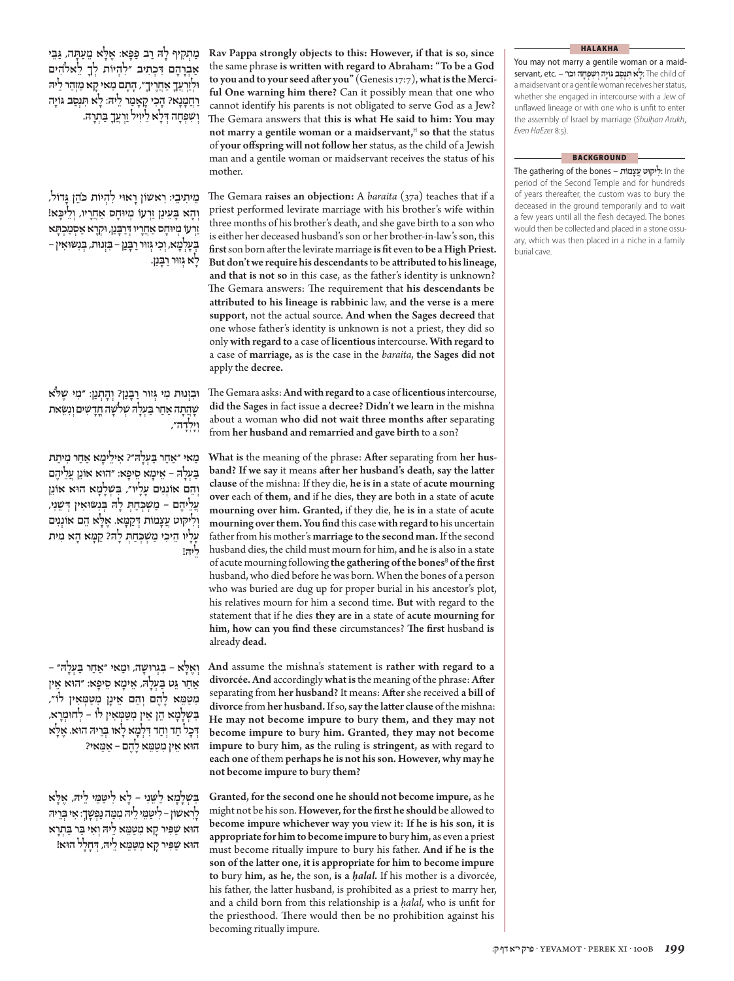**ַמ ְתִקיף ָל ּה ַרב ַּפ ָּפא: ֶאָּלא ֵמַע ָּתה, ַּגֵּבי ַא ְבָרָהם ִ ּד ְכ ִתיב ִ״ל ְהיוֹת ְלָך ֵלאלֹ ִהים ּוְלַזְרֲעָך ַאֲחֶר ָיך״, ָהָתם ַמאי ָקא ַמְזַהרֵל ּיה ַרֲחָמָנא? ָה ִכי ָקָאַמר ֵל ּיה: ָלא ִּתְנַסב ּג ָוֹיה ְו ׁ ִשְפָחה ְ ּדָלא ֵל ִיזילַזְרֲעָך ַּב ְתָרּה.** 

**ֵמ ִית ֵיבי: ִר ׁאשוֹן ָר ּאוי ִל ְהיוֹת ּכֵֹהן ָּגדוֹל, ּיכא! ְוָהא ָּבֵע ַינן ַזְרעוֹ ְמ ּיוָחס ַאֲחָריו, ְוֵל ָ ַזְרעוֹ ְמ ּיוָחס ַאֲחָריו ְ ּדַרָּבַנן, ּו ְקָרא ַא ְסַמ ְכ ָּתא ְּבָעְלָמא, ְו ִכי ְּג ּזורַרָּבַנן – ִּבְז ּנות, ְּבִנּ ׂשּו ִאין – ָלא ְּג ּזורַרָּבַנן.** 

**ּו ִבְז ּנות ִמי ְּג ּזור ַרָּבַנן? ְוָה ְתַנן: ִ״מי ֶׁש ּלֹא ָׁשֲהָתה ַאַחר ַּב ְעָל ּה ׁ ְשלֹ ָׁשהֳחָד ׁ ִשיםְוִנֵּׂשאת ְוָי ְלָדה״,** 

**ַמאי ַ״אַחר ַּב ְעָל ּה״? ִא ֵיל ָימא ַאַחר ִמ ַיתת ַּב ְעָל ּה – ֵא ָימא ֵס ָיפא: ּ ״הוא ֵאוֹנן ֲעֵל ֶיהם ְוֵהם ְאוֹנִנים ָעָליו״, ִּבׁ ְשָלָמא ּהוא ֵאוֹנן ּכַח ְּת ָל ּה ְּבִנּ ׂשּו ִאין ְ ּד ֵׁשִני, ֲעֵל ֶיהם – ַמׁ ְשְ ּלא ֵהם ְאוֹנִנים ְוִל ּיקּוט ֲעָצמוֹת ְ ּדַק ָּמא. ֶאָ ּכַח ְּת ָל ּה? ַק ָּמא ָהא ִמית ָעָליו ֵה ִיכי ַמׁ ְשְ ֵל ּיה!** 

**ְוֶאָּלא – ִּבְג ּרו ָׁשה, ּוַמאי ַ״אַחר ַּב ְעָל ּה״ – ַאַחר ֵּגט ַּב ְעָל ּה, ֵא ָימא ֵס ָיפא: ּ ״הוא ֵאין ִמ ַּט ֵּמא ָלֶהם ְוֵהם ֵא ָינן ִמ ַּט ְּמ ִאין לוֹ״, ִּבׁ ְשָלָמא ֵהן ֵאין ִמ ַּט ְּמ ִאין לוֹ – ְל ּחו ְמָרא, ּלא ְ ּדָכל ַחד ְוַחד ִ ּד ְלָמא ָלאו ְּבֵר ּיה ּהוא. ֶאָ ּהוא ֵאין ִמ ַּט ֵּמא ָלֶהם – ַא ַּמאי?** 

**ִּבׁ ְשָלָמא ַל ֵּׁשִני – ָלא ִל ַּיט ֵּמי ֵל ּיה, ֶאָּלא ָלִר ׁאשוֹן – ִל ַּיט ֵּמי ֵל ּיה ִמ ַּמהַּנְפָׁש ְך: ִאי ְּבֵר ּיה ּהוא ַׁשִּפירָקא ִמ ַּט ֵּמא ֵל ּיה ְו ִאי ַּבר ַּב ְתָרא ּהוא ַׁשִּפירָקא ִמ ַּט ֵּמא ֵל ּיה, ְ ּדָחָלל ּהוא!**

**Rav Pappa strongly objects to this: However, if that is so, since**  the same phrase is written with regard to Abraham: "To be a God to you and to your seed after you" (Genesis 17:7), what is the Merci**ful One warning him there?** Can it possibly mean that one who cannot identify his parents is not obligated to serve God as a Jew? The Gemara answers that this is what He said to him: You may not marry a gentile woman or a maidservant,<sup>H</sup> so that the status of **your off spring will not follow her** status, as the child of a Jewish man and a gentile woman or maidservant receives the status of his mother.

The Gemara **raises an objection:** A *baraita* (37a) teaches that if a priest performed levirate marriage with his brother's wife within three months of his brother's death, and she gave birth to a son who is either her deceased husband's son or her brother-in-law's son, this first son born after the levirate marriage is fit even to be a High Priest. **But don't we require his descendants** to be **att ributed to his lineage, and that is not so** in this case, as the father's identity is unknown? The Gemara answers: The requirement that his descendants be **att ributed to his lineage is rabbinic** law, **and the verse is a mere support,** not the actual source. **And when the Sages decreed** that one whose father's identity is unknown is not a priest, they did so only **with regard to** a case of **licentious** intercourse. **With regard to**  a case of **marriage,** as is the case in the *baraita*, **the Sages did not**  apply the **decree.**

The Gemara asks: And with regard to a case of licentious intercourse, **did the Sages** in fact issue **a decree? Didn't we learn** in the mishna about a woman who did not wait three months after separating from **her husband and remarried and gave birth** to a son?

What is the meaning of the phrase: After separating from her husband? If we say it means after her husband's death, say the latter **clause** of the mishna: If they die, **he is in a** state of **acute mourning over** each of **them, and** if he dies, **they are** both **in** a state of **acute mourning over him. Granted,** if they die, **he is in** a state of **acute mourning over them. You fi nd** this case **with regard to** his uncertain father from his mother's **marriage to the second man.** If the second husband dies, the child must mourn for him, **and** he is also in a state  $\alpha$  of acute mourning following the gathering of the bones<sup>B</sup> of the first husband, who died before he was born. When the bones of a person who was buried are dug up for proper burial in his ancestor's plot, his relatives mourn for him a second time. **But** with regard to the statement that if he dies **they are in** a state of **acute mourning for him, how can you fi nd these** circumstances? **Th e fi rst** husband **is**  already **dead.**

**And** assume the mishna's statement is **rather with regard to a divorcée. And** accordingly **what is** the meaning of the phrase: **Aft er**  separating from **her husband?** It means: **Aft er** she received **a bill of divorce** from **her husband.** If so, **say the latt er clause** of the mishna: **He may not become impure to** bury **them, and they may not become impure to** bury **him. Granted, they may not become impure to** bury **him, as** the ruling is **stringent, as** with regard to **each one** of them **perhaps he is not his son. However, why may he not become impure to** bury **them?**

**Granted, for the second one he should not become impure,** as he might not be his son. **However, for the fi rst he should** be allowed to **become impure whichever way you** view it: **If he is his son, it is appropriate for him to become impure to** bury **him,** as even a priest must become ritually impure to bury his father. **And if he is the**  son of the latter one, it is appropriate for him to become impure **to** bury **him, as he,** the son, **is a** *ĥalal***.** If his mother is a divorcée, his father, the latter husband, is prohibited as a priest to marry her, and a child born from this relationship is a *ĥalal*, who is unfit for the priesthood. There would then be no prohibition against his becoming ritually impure.

#### **HALAKHA**

You may not marry a gentile woman or a maidservant, etc. – **וכו׳ חהָפְשִ ׁ וְ וֹיהָ גּ סבַנְתִּ לאָ**: The child of a maidservant or a gentile woman receives her status, whether she engaged in intercourse with a Jew of unflawed lineage or with one who is unfit to enter the assembly of Israel by marriage (*Shulĥan Arukh*, *Even HaEzer* 8:5).

# **BACKGROUND**

 The gathering of the bones – **צמוֹתָעֲ יקוט ּ לִ** : In the period of the Second Temple and for hundreds of years thereafter, the custom was to bury the deceased in the ground temporarily and to wait a few years until all the flesh decayed. The bones would then be collected and placed in a stone ossuary, which was then placed in a niche in a family burial cave.